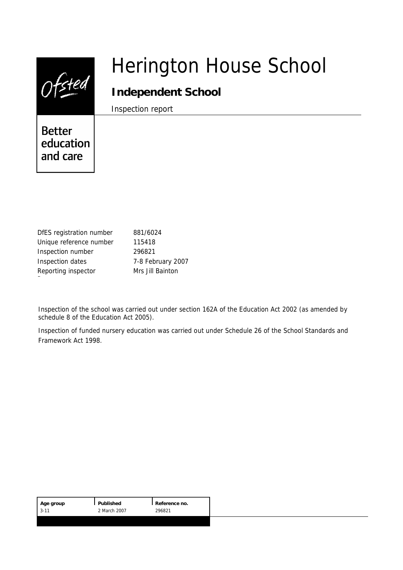|                                        | <b>Herington House School</b>           |
|----------------------------------------|-----------------------------------------|
|                                        | Independent School<br>Inspection report |
| <b>Better</b><br>education<br>and care |                                         |

| DfES registration number | 881/6024          |  |  |
|--------------------------|-------------------|--|--|
| Unique reference number  | 115418            |  |  |
| Inspection number        | 296821            |  |  |
| Inspection dates         | 7-8 February 2007 |  |  |
| Reporting inspector      | Mrs Jill Bainton  |  |  |

Inspection of the school was carried out under section 162A of the Education Act 2002 (as amended by schedule 8 of the Education Act 2005).

Inspection of funded nursery education was carried out under Schedule 26 of the School Standards and Framework Act 1998.

| Published<br>Age group<br>2 March 2007<br>$13 - 11$ | Reference no.<br>296821 |  |
|-----------------------------------------------------|-------------------------|--|
|-----------------------------------------------------|-------------------------|--|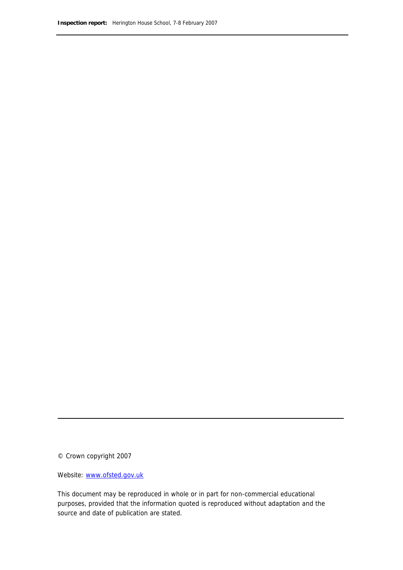© Crown copyright 2007

Website: www.ofsted.gov.uk

This document may be reproduced in whole or in part for non-commercial educational purposes, provided that the information quoted is reproduced without adaptation and the source and date of publication are stated.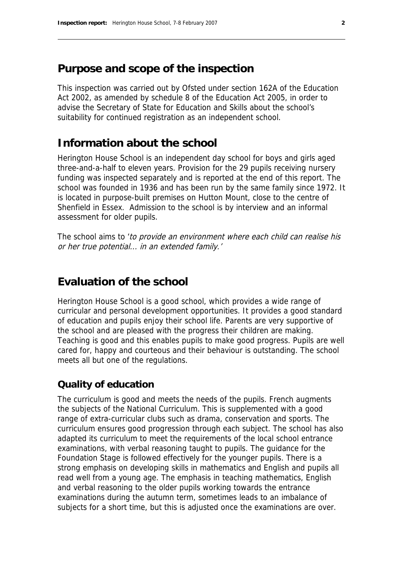# **Purpose and scope of the inspection**

This inspection was carried out by Ofsted under section 162A of the Education Act 2002, as amended by schedule 8 of the Education Act 2005, in order to advise the Secretary of State for Education and Skills about the school's suitability for continued registration as an independent school.

# **Information about the school**

Herington House School is an independent day school for boys and girls aged three-and-a-half to eleven years. Provision for the 29 pupils receiving nursery funding was inspected separately and is reported at the end of this report. The school was founded in 1936 and has been run by the same family since 1972. It is located in purpose-built premises on Hutton Mount, close to the centre of Shenfield in Essex. Admission to the school is by interview and an informal assessment for older pupils.

The school aims to 'to provide an environment where each child can realise his or her true potential... in an extended family.'

# **Evaluation of the school**

Herington House School is a good school, which provides a wide range of curricular and personal development opportunities. It provides a good standard of education and pupils enjoy their school life. Parents are very supportive of the school and are pleased with the progress their children are making. Teaching is good and this enables pupils to make good progress. Pupils are well cared for, happy and courteous and their behaviour is outstanding. The school meets all but one of the regulations.

### **Quality of education**

The curriculum is good and meets the needs of the pupils. French augments the subjects of the National Curriculum. This is supplemented with a good range of extra-curricular clubs such as drama, conservation and sports. The curriculum ensures good progression through each subject. The school has also adapted its curriculum to meet the requirements of the local school entrance examinations, with verbal reasoning taught to pupils. The guidance for the Foundation Stage is followed effectively for the younger pupils. There is a strong emphasis on developing skills in mathematics and English and pupils all read well from a young age. The emphasis in teaching mathematics, English and verbal reasoning to the older pupils working towards the entrance examinations during the autumn term, sometimes leads to an imbalance of subjects for a short time, but this is adjusted once the examinations are over.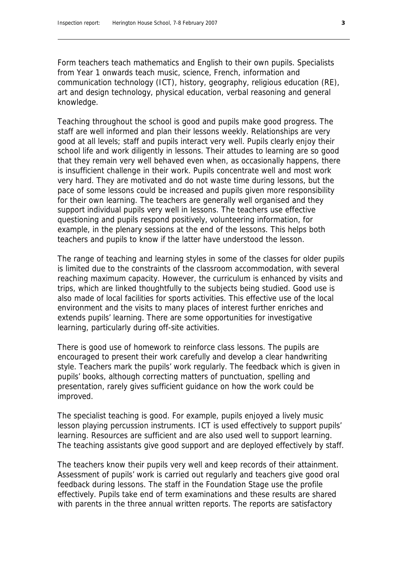Form teachers teach mathematics and English to their own pupils. Specialists from Year 1 onwards teach music, science, French, information and communication technology (ICT), history, geography, religious education (RE), art and design technology, physical education, verbal reasoning and general knowledge.

Teaching throughout the school is good and pupils make good progress. The staff are well informed and plan their lessons weekly. Relationships are very good at all levels; staff and pupils interact very well. Pupils clearly enjoy their school life and work diligently in lessons. Their attudes to learning are so good that they remain very well behaved even when, as occasionally happens, there is insufficient challenge in their work. Pupils concentrate well and most work very hard. They are motivated and do not waste time during lessons, but the pace of some lessons could be increased and pupils given more responsibility for their own learning. The teachers are generally well organised and they support individual pupils very well in lessons. The teachers use effective questioning and pupils respond positively, volunteering information, for example, in the plenary sessions at the end of the lessons. This helps both teachers and pupils to know if the latter have understood the lesson.

The range of teaching and learning styles in some of the classes for older pupils is limited due to the constraints of the classroom accommodation, with several reaching maximum capacity. However, the curriculum is enhanced by visits and trips, which are linked thoughtfully to the subjects being studied. Good use is also made of local facilities for sports activities. This effective use of the local environment and the visits to many places of interest further enriches and extends pupils' learning. There are some opportunities for investigative learning, particularly during off-site activities.

There is good use of homework to reinforce class lessons. The pupils are encouraged to present their work carefully and develop a clear handwriting style. Teachers mark the pupils' work regularly. The feedback which is given in pupils' books, although correcting matters of punctuation, spelling and presentation, rarely gives sufficient guidance on how the work could be improved.

The specialist teaching is good. For example, pupils enjoyed a lively music lesson playing percussion instruments. ICT is used effectively to support pupils' learning. Resources are sufficient and are also used well to support learning. The teaching assistants give good support and are deployed effectively by staff.

The teachers know their pupils very well and keep records of their attainment. Assessment of pupils' work is carried out regularly and teachers give good oral feedback during lessons. The staff in the Foundation Stage use the profile effectively. Pupils take end of term examinations and these results are shared with parents in the three annual written reports. The reports are satisfactory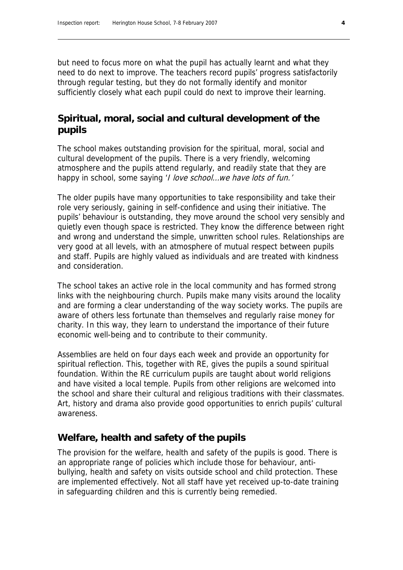but need to focus more on what the pupil has actually learnt and what they need to do next to improve. The teachers record pupils' progress satisfactorily through regular testing, but they do not formally identify and monitor sufficiently closely what each pupil could do next to improve their learning.

### **Spiritual, moral, social and cultural development of the pupils**

The school makes outstanding provision for the spiritual, moral, social and cultural development of the pupils. There is a very friendly, welcoming atmosphere and the pupils attend regularly, and readily state that they are happy in school, some saying '*I love school... we have lots of fun.'* 

The older pupils have many opportunities to take responsibility and take their role very seriously, gaining in self-confidence and using their initiative. The pupils' behaviour is outstanding, they move around the school very sensibly and quietly even though space is restricted. They know the difference between right and wrong and understand the simple, unwritten school rules. Relationships are very good at all levels, with an atmosphere of mutual respect between pupils and staff. Pupils are highly valued as individuals and are treated with kindness and consideration.

The school takes an active role in the local community and has formed strong links with the neighbouring church. Pupils make many visits around the locality and are forming a clear understanding of the way society works. The pupils are aware of others less fortunate than themselves and regularly raise money for charity. In this way, they learn to understand the importance of their future economic well-being and to contribute to their community.

Assemblies are held on four days each week and provide an opportunity for spiritual reflection. This, together with RE, gives the pupils a sound spiritual foundation. Within the RE curriculum pupils are taught about world religions and have visited a local temple. Pupils from other religions are welcomed into the school and share their cultural and religious traditions with their classmates. Art, history and drama also provide good opportunities to enrich pupils' cultural awareness.

#### **Welfare, health and safety of the pupils**

The provision for the welfare, health and safety of the pupils is good. There is an appropriate range of policies which include those for behaviour, antibullying, health and safety on visits outside school and child protection. These are implemented effectively. Not all staff have yet received up-to-date training in safeguarding children and this is currently being remedied.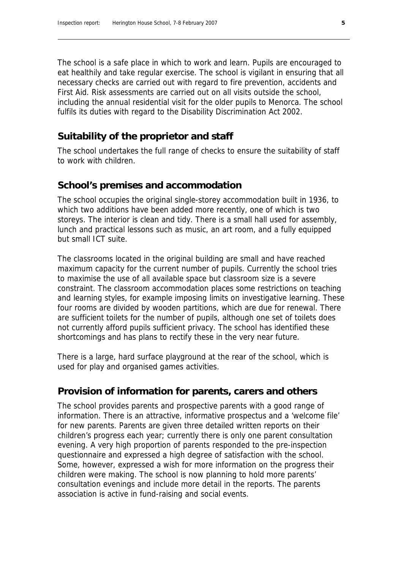The school is a safe place in which to work and learn. Pupils are encouraged to eat healthily and take regular exercise. The school is vigilant in ensuring that all necessary checks are carried out with regard to fire prevention, accidents and First Aid. Risk assessments are carried out on all visits outside the school, including the annual residential visit for the older pupils to Menorca. The school fulfils its duties with regard to the Disability Discrimination Act 2002.

# **Suitability of the proprietor and staff**

The school undertakes the full range of checks to ensure the suitability of staff to work with children.

#### **School's premises and accommodation**

The school occupies the original single-storey accommodation built in 1936, to which two additions have been added more recently, one of which is two storeys. The interior is clean and tidy. There is a small hall used for assembly, lunch and practical lessons such as music, an art room, and a fully equipped but small ICT suite.

The classrooms located in the original building are small and have reached maximum capacity for the current number of pupils. Currently the school tries to maximise the use of all available space but classroom size is a severe constraint. The classroom accommodation places some restrictions on teaching and learning styles, for example imposing limits on investigative learning. These four rooms are divided by wooden partitions, which are due for renewal. There are sufficient toilets for the number of pupils, although one set of toilets does not currently afford pupils sufficient privacy. The school has identified these shortcomings and has plans to rectify these in the very near future.

There is a large, hard surface playground at the rear of the school, which is used for play and organised games activities.

#### **Provision of information for parents, carers and others**

The school provides parents and prospective parents with a good range of information. There is an attractive, informative prospectus and a 'welcome file' for new parents. Parents are given three detailed written reports on their children's progress each year; currently there is only one parent consultation evening. A very high proportion of parents responded to the pre-inspection questionnaire and expressed a high degree of satisfaction with the school. Some, however, expressed a wish for more information on the progress their children were making. The school is now planning to hold more parents' consultation evenings and include more detail in the reports. The parents association is active in fund-raising and social events.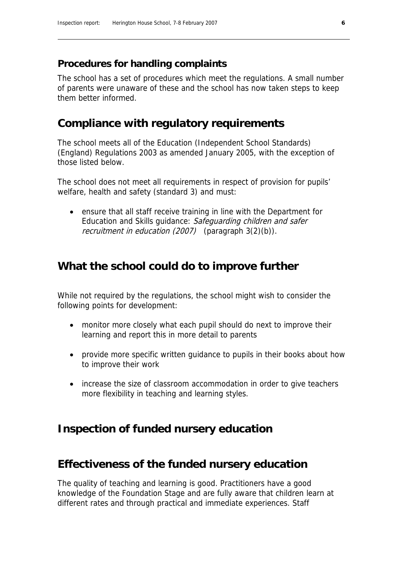#### **Procedures for handling complaints**

The school has a set of procedures which meet the regulations. A small number of parents were unaware of these and the school has now taken steps to keep them better informed.

### **Compliance with regulatory requirements**

The school meets all of the Education (Independent School Standards) (England) Regulations 2003 as amended January 2005, with the exception of those listed below.

The school does not meet all requirements in respect of provision for pupils' welfare, health and safety (standard 3) and must:

 ensure that all staff receive training in line with the Department for Education and Skills guidance: Safeguarding children and safer recruitment in education (2007) (paragraph 3(2)(b)).

### **What the school could do to improve further**

While not required by the regulations, the school might wish to consider the following points for development:

- monitor more closely what each pupil should do next to improve their learning and report this in more detail to parents
- provide more specific written guidance to pupils in their books about how to improve their work
- increase the size of classroom accommodation in order to give teachers more flexibility in teaching and learning styles.

### **Inspection of funded nursery education**

## **Effectiveness of the funded nursery education**

The quality of teaching and learning is good. Practitioners have a good knowledge of the Foundation Stage and are fully aware that children learn at different rates and through practical and immediate experiences. Staff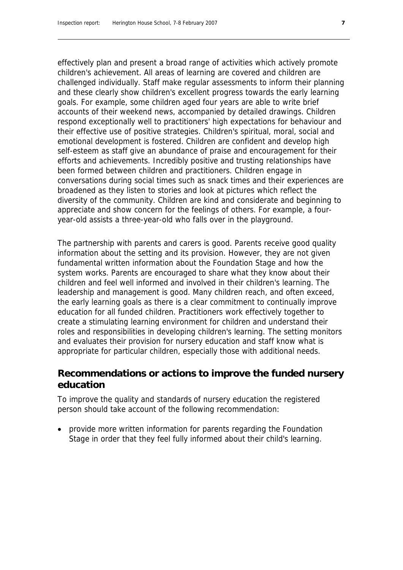effectively plan and present a broad range of activities which actively promote children's achievement. All areas of learning are covered and children are challenged individually. Staff make regular assessments to inform their planning and these clearly show children's excellent progress towards the early learning goals. For example, some children aged four years are able to write brief accounts of their weekend news, accompanied by detailed drawings. Children respond exceptionally well to practitioners' high expectations for behaviour and their effective use of positive strategies. Children's spiritual, moral, social and emotional development is fostered. Children are confident and develop high self-esteem as staff give an abundance of praise and encouragement for their efforts and achievements. Incredibly positive and trusting relationships have been formed between children and practitioners. Children engage in conversations during social times such as snack times and their experiences are broadened as they listen to stories and look at pictures which reflect the diversity of the community. Children are kind and considerate and beginning to appreciate and show concern for the feelings of others. For example, a fouryear-old assists a three-year-old who falls over in the playground.

The partnership with parents and carers is good. Parents receive good quality information about the setting and its provision. However, they are not given fundamental written information about the Foundation Stage and how the system works. Parents are encouraged to share what they know about their children and feel well informed and involved in their children's learning. The leadership and management is good. Many children reach, and often exceed, the early learning goals as there is a clear commitment to continually improve education for all funded children. Practitioners work effectively together to create a stimulating learning environment for children and understand their roles and responsibilities in developing children's learning. The setting monitors and evaluates their provision for nursery education and staff know what is appropriate for particular children, especially those with additional needs.

#### **Recommendations or actions to improve the funded nursery education**

To improve the quality and standards of nursery education the registered person should take account of the following recommendation:

 provide more written information for parents regarding the Foundation Stage in order that they feel fully informed about their child's learning.